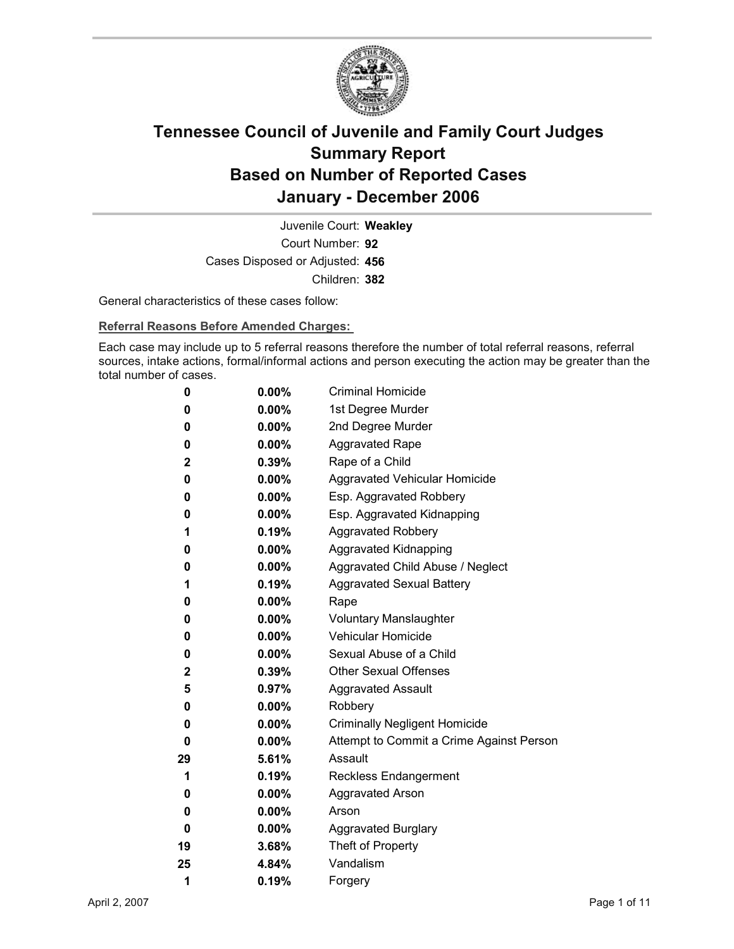

Court Number: **92** Juvenile Court: **Weakley** Cases Disposed or Adjusted: **456** Children: **382**

General characteristics of these cases follow:

**Referral Reasons Before Amended Charges:** 

Each case may include up to 5 referral reasons therefore the number of total referral reasons, referral sources, intake actions, formal/informal actions and person executing the action may be greater than the total number of cases.

| 0            | $0.00\%$ | <b>Criminal Homicide</b>                 |
|--------------|----------|------------------------------------------|
| 0            | $0.00\%$ | 1st Degree Murder                        |
| 0            | $0.00\%$ | 2nd Degree Murder                        |
| 0            | $0.00\%$ | <b>Aggravated Rape</b>                   |
| $\mathbf 2$  | $0.39\%$ | Rape of a Child                          |
| 0            | $0.00\%$ | Aggravated Vehicular Homicide            |
| 0            | $0.00\%$ | Esp. Aggravated Robbery                  |
| 0            | $0.00\%$ | Esp. Aggravated Kidnapping               |
| 1            | 0.19%    | <b>Aggravated Robbery</b>                |
| 0            | $0.00\%$ | <b>Aggravated Kidnapping</b>             |
| 0            | $0.00\%$ | Aggravated Child Abuse / Neglect         |
| 1            | 0.19%    | <b>Aggravated Sexual Battery</b>         |
| 0            | $0.00\%$ | Rape                                     |
| 0            | $0.00\%$ | <b>Voluntary Manslaughter</b>            |
| 0            | $0.00\%$ | <b>Vehicular Homicide</b>                |
| 0            | $0.00\%$ | Sexual Abuse of a Child                  |
| $\mathbf{2}$ | $0.39\%$ | <b>Other Sexual Offenses</b>             |
| 5            | $0.97\%$ | <b>Aggravated Assault</b>                |
| 0            | $0.00\%$ | Robbery                                  |
| 0            | $0.00\%$ | <b>Criminally Negligent Homicide</b>     |
| 0            | $0.00\%$ | Attempt to Commit a Crime Against Person |
| 29           | 5.61%    | Assault                                  |
| 1            | 0.19%    | <b>Reckless Endangerment</b>             |
| 0            | $0.00\%$ | <b>Aggravated Arson</b>                  |
| 0            | $0.00\%$ | Arson                                    |
| 0            | $0.00\%$ | <b>Aggravated Burglary</b>               |
| 19           | 3.68%    | Theft of Property                        |
| 25           | 4.84%    | Vandalism                                |
| 1            | 0.19%    | Forgery                                  |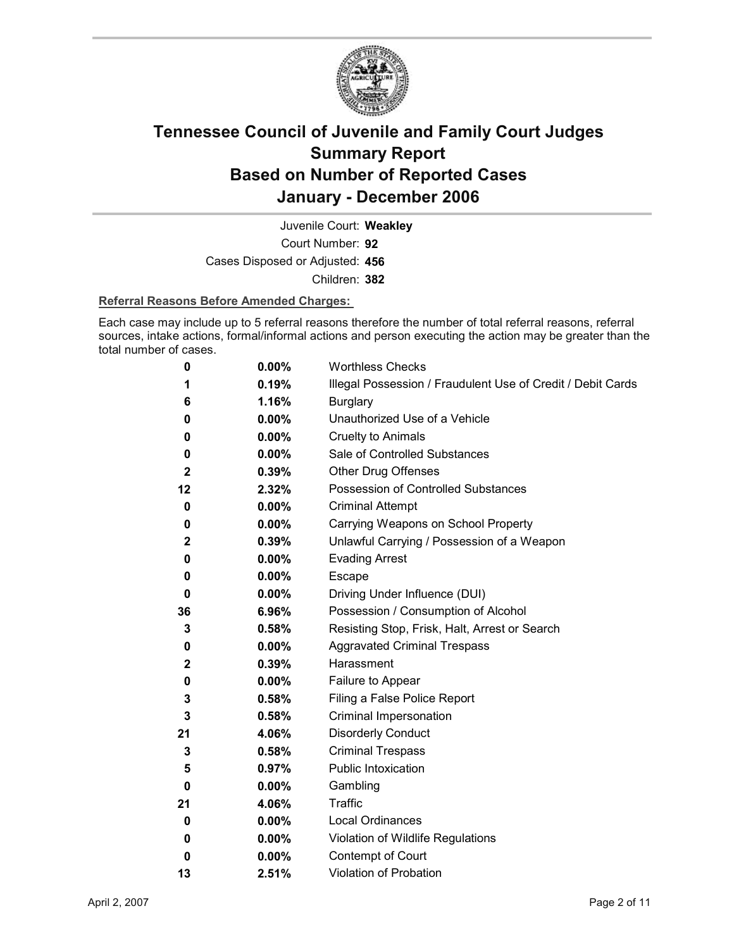

Court Number: **92** Juvenile Court: **Weakley** Cases Disposed or Adjusted: **456** Children: **382**

#### **Referral Reasons Before Amended Charges:**

Each case may include up to 5 referral reasons therefore the number of total referral reasons, referral sources, intake actions, formal/informal actions and person executing the action may be greater than the total number of cases.

| 0              | 0.00%    | <b>Worthless Checks</b>                                     |
|----------------|----------|-------------------------------------------------------------|
| 1              | 0.19%    | Illegal Possession / Fraudulent Use of Credit / Debit Cards |
| 6              | 1.16%    | <b>Burglary</b>                                             |
| 0              | $0.00\%$ | Unauthorized Use of a Vehicle                               |
| 0              | 0.00%    | <b>Cruelty to Animals</b>                                   |
| 0              | $0.00\%$ | Sale of Controlled Substances                               |
| $\overline{2}$ | 0.39%    | <b>Other Drug Offenses</b>                                  |
| 12             | 2.32%    | <b>Possession of Controlled Substances</b>                  |
| 0              | 0.00%    | <b>Criminal Attempt</b>                                     |
| 0              | $0.00\%$ | Carrying Weapons on School Property                         |
| $\overline{2}$ | 0.39%    | Unlawful Carrying / Possession of a Weapon                  |
| 0              | 0.00%    | <b>Evading Arrest</b>                                       |
| 0              | 0.00%    | Escape                                                      |
| 0              | $0.00\%$ | Driving Under Influence (DUI)                               |
| 36             | 6.96%    | Possession / Consumption of Alcohol                         |
| 3              | 0.58%    | Resisting Stop, Frisk, Halt, Arrest or Search               |
| 0              | $0.00\%$ | <b>Aggravated Criminal Trespass</b>                         |
| 2              | 0.39%    | Harassment                                                  |
| 0              | 0.00%    | Failure to Appear                                           |
| 3              | 0.58%    | Filing a False Police Report                                |
| 3              | 0.58%    | Criminal Impersonation                                      |
| 21             | 4.06%    | <b>Disorderly Conduct</b>                                   |
| 3              | 0.58%    | <b>Criminal Trespass</b>                                    |
| 5              | 0.97%    | <b>Public Intoxication</b>                                  |
| 0              | $0.00\%$ | Gambling                                                    |
| 21             | 4.06%    | Traffic                                                     |
| 0              | 0.00%    | Local Ordinances                                            |
| 0              | $0.00\%$ | Violation of Wildlife Regulations                           |
| 0              | 0.00%    | Contempt of Court                                           |
| 13             | 2.51%    | <b>Violation of Probation</b>                               |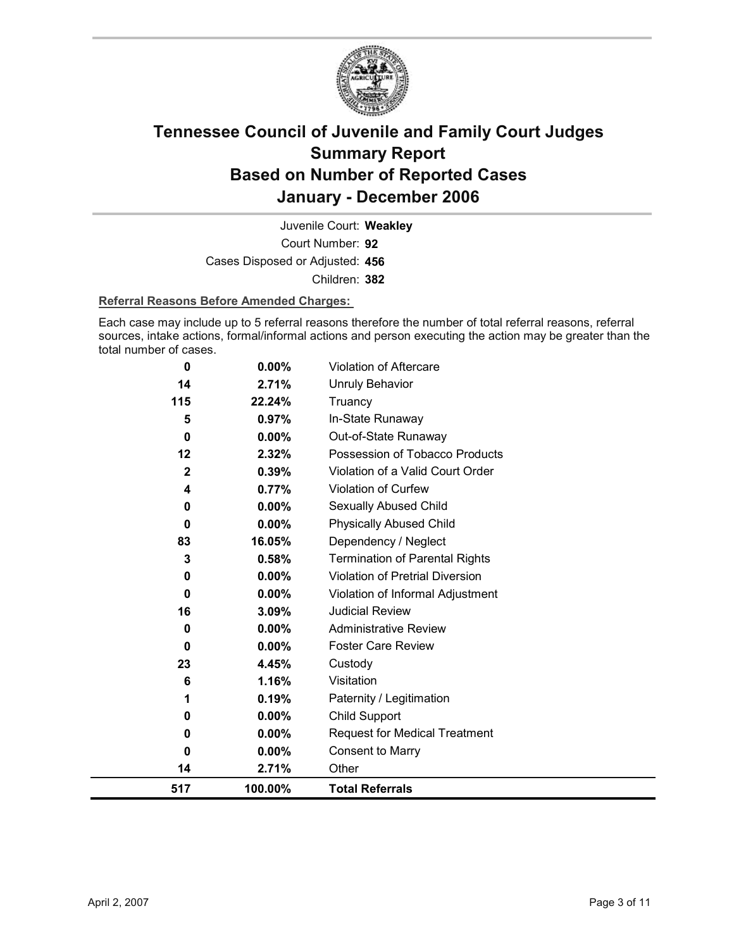

Court Number: **92** Juvenile Court: **Weakley** Cases Disposed or Adjusted: **456** Children: **382**

#### **Referral Reasons Before Amended Charges:**

Each case may include up to 5 referral reasons therefore the number of total referral reasons, referral sources, intake actions, formal/informal actions and person executing the action may be greater than the total number of cases.

| 0            | 0.00%    | <b>Violation of Aftercare</b>          |
|--------------|----------|----------------------------------------|
| 14           | 2.71%    | <b>Unruly Behavior</b>                 |
| 115          | 22.24%   | Truancy                                |
| 5            | 0.97%    | In-State Runaway                       |
| $\bf{0}$     | 0.00%    | Out-of-State Runaway                   |
| 12           | 2.32%    | Possession of Tobacco Products         |
| $\mathbf{2}$ | 0.39%    | Violation of a Valid Court Order       |
| 4            | 0.77%    | <b>Violation of Curfew</b>             |
| 0            | $0.00\%$ | Sexually Abused Child                  |
| 0            | 0.00%    | <b>Physically Abused Child</b>         |
| 83           | 16.05%   | Dependency / Neglect                   |
| 3            | 0.58%    | <b>Termination of Parental Rights</b>  |
| 0            | $0.00\%$ | <b>Violation of Pretrial Diversion</b> |
| 0            | $0.00\%$ | Violation of Informal Adjustment       |
| 16           | 3.09%    | <b>Judicial Review</b>                 |
| 0            | $0.00\%$ | <b>Administrative Review</b>           |
| 0            | $0.00\%$ | <b>Foster Care Review</b>              |
| 23           | 4.45%    | Custody                                |
| 6            | 1.16%    | Visitation                             |
| 1            | 0.19%    | Paternity / Legitimation               |
| 0            | $0.00\%$ | <b>Child Support</b>                   |
| 0            | $0.00\%$ | <b>Request for Medical Treatment</b>   |
| 0            | 0.00%    | <b>Consent to Marry</b>                |
| 14           | 2.71%    | Other                                  |
| 517          | 100.00%  | <b>Total Referrals</b>                 |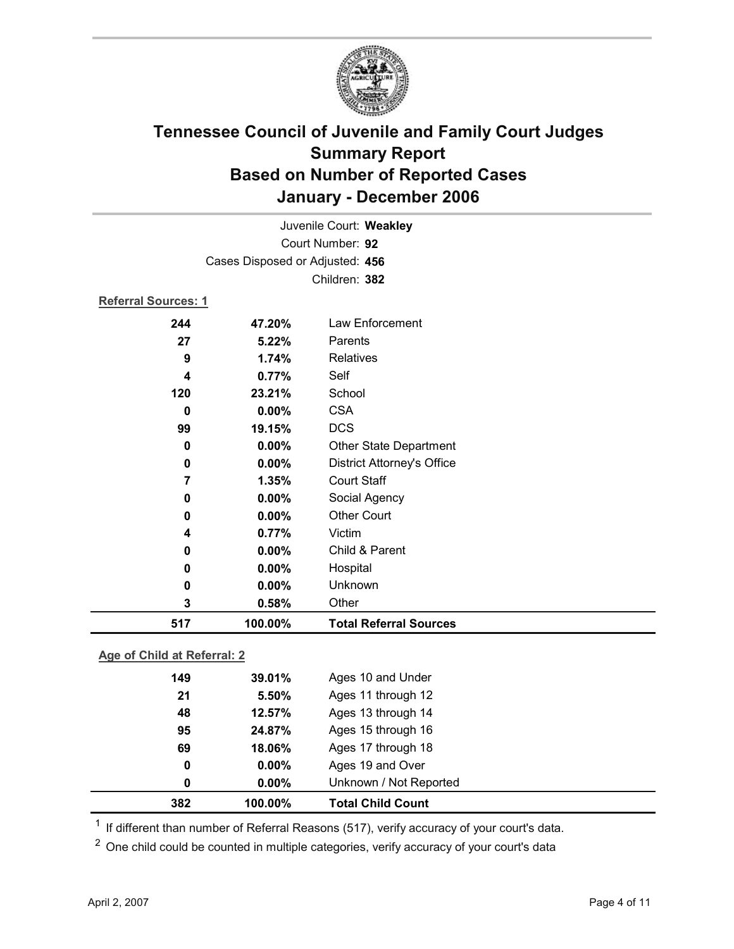

| Juvenile Court: Weakley         |          |                                   |  |
|---------------------------------|----------|-----------------------------------|--|
| Court Number: 92                |          |                                   |  |
| Cases Disposed or Adjusted: 456 |          |                                   |  |
|                                 |          | Children: 382                     |  |
| <b>Referral Sources: 1</b>      |          |                                   |  |
| 244                             | 47.20%   | <b>Law Enforcement</b>            |  |
| 27                              | 5.22%    | Parents                           |  |
| 9                               | 1.74%    | Relatives                         |  |
| 4                               | 0.77%    | Self                              |  |
| 120                             | 23.21%   | School                            |  |
| $\bf{0}$                        | $0.00\%$ | <b>CSA</b>                        |  |
| 99                              | 19.15%   | <b>DCS</b>                        |  |
| 0                               | 0.00%    | Other State Department            |  |
| $\mathbf 0$                     | 0.00%    | <b>District Attorney's Office</b> |  |
| $\overline{7}$                  | 1.35%    | <b>Court Staff</b>                |  |
| 0                               | 0.00%    | Social Agency                     |  |
| 0                               | 0.00%    | <b>Other Court</b>                |  |
| 4                               | 0.77%    | Victim                            |  |
| 0                               | $0.00\%$ | Child & Parent                    |  |
| 0                               | 0.00%    | Hospital                          |  |
| 0                               | 0.00%    | Unknown                           |  |
| 3                               | 0.58%    | Other                             |  |
| 517                             | 100.00%  | <b>Total Referral Sources</b>     |  |
|                                 |          |                                   |  |

### **Age of Child at Referral: 2**

| 382 | 100.00%  | <b>Total Child Count</b> |  |
|-----|----------|--------------------------|--|
| 0   | $0.00\%$ | Unknown / Not Reported   |  |
| 0   | $0.00\%$ | Ages 19 and Over         |  |
| 69  | 18.06%   | Ages 17 through 18       |  |
| 95  | 24.87%   | Ages 15 through 16       |  |
| 48  | 12.57%   | Ages 13 through 14       |  |
| 21  | 5.50%    | Ages 11 through 12       |  |
| 149 | 39.01%   | Ages 10 and Under        |  |
|     |          |                          |  |

 $1$  If different than number of Referral Reasons (517), verify accuracy of your court's data.

<sup>2</sup> One child could be counted in multiple categories, verify accuracy of your court's data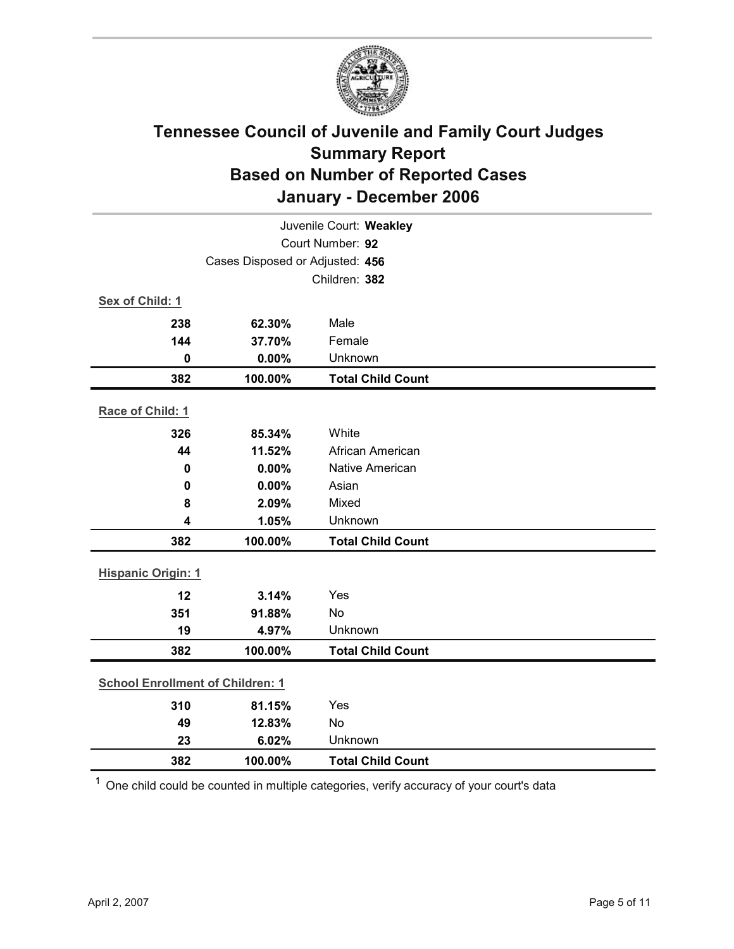

| Juvenile Court: Weakley                 |                                 |                          |  |  |
|-----------------------------------------|---------------------------------|--------------------------|--|--|
| Court Number: 92                        |                                 |                          |  |  |
|                                         | Cases Disposed or Adjusted: 456 |                          |  |  |
|                                         |                                 | Children: 382            |  |  |
| Sex of Child: 1                         |                                 |                          |  |  |
| 238                                     | 62.30%                          | Male                     |  |  |
| 144                                     | 37.70%                          | Female                   |  |  |
| $\mathbf 0$                             | 0.00%                           | Unknown                  |  |  |
| 382                                     | 100.00%                         | <b>Total Child Count</b> |  |  |
| Race of Child: 1                        |                                 |                          |  |  |
| 326                                     | 85.34%                          | White                    |  |  |
| 44                                      | 11.52%                          | African American         |  |  |
| $\mathbf 0$                             | 0.00%                           | <b>Native American</b>   |  |  |
| $\mathbf 0$                             | 0.00%                           | Asian                    |  |  |
| 8                                       | 2.09%                           | Mixed                    |  |  |
| $\overline{\mathbf{4}}$                 | 1.05%                           | Unknown                  |  |  |
| 382                                     | 100.00%                         | <b>Total Child Count</b> |  |  |
| <b>Hispanic Origin: 1</b>               |                                 |                          |  |  |
| 12                                      | 3.14%                           | Yes                      |  |  |
| 351                                     | 91.88%                          | <b>No</b>                |  |  |
| 19                                      | 4.97%                           | Unknown                  |  |  |
| 382                                     | 100.00%                         | <b>Total Child Count</b> |  |  |
| <b>School Enrollment of Children: 1</b> |                                 |                          |  |  |
| 310                                     | 81.15%                          | Yes                      |  |  |
| 49                                      | 12.83%                          | <b>No</b>                |  |  |
| 23                                      | 6.02%                           | Unknown                  |  |  |
| 382                                     | 100.00%                         | <b>Total Child Count</b> |  |  |

 $1$  One child could be counted in multiple categories, verify accuracy of your court's data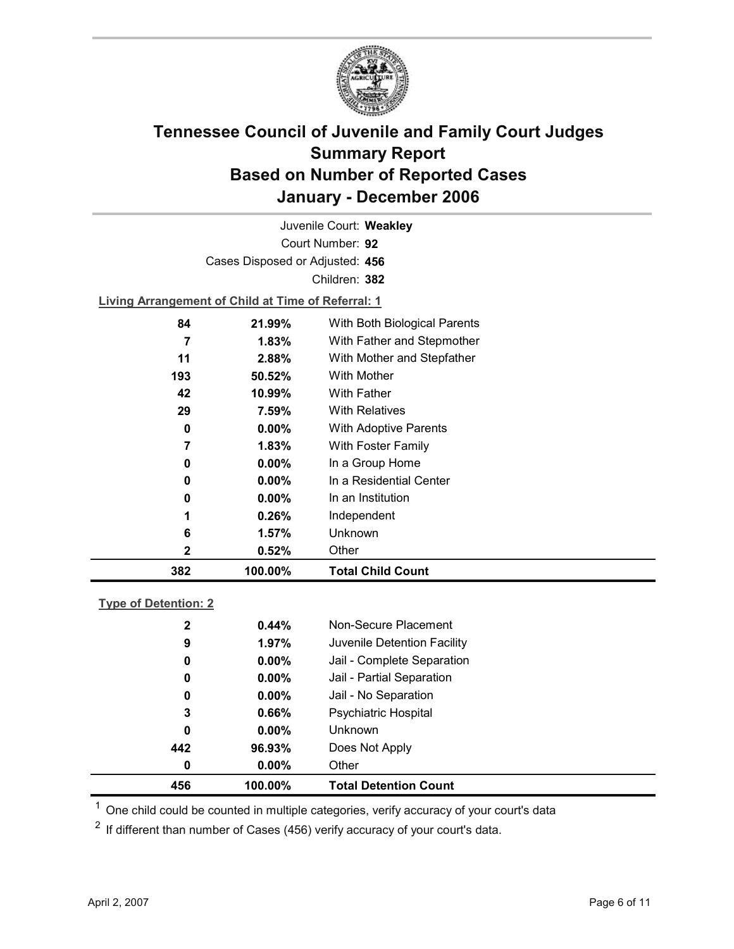

Court Number: **92** Juvenile Court: **Weakley** Cases Disposed or Adjusted: **456** Children: **382**

**Living Arrangement of Child at Time of Referral: 1**

| 382 | 100.00%  | <b>Total Child Count</b>     |
|-----|----------|------------------------------|
| 2   | 0.52%    | Other                        |
| 6   | 1.57%    | Unknown                      |
| 1   | 0.26%    | Independent                  |
| 0   | $0.00\%$ | In an Institution            |
| 0   | $0.00\%$ | In a Residential Center      |
| 0   | $0.00\%$ | In a Group Home              |
| 7   | 1.83%    | <b>With Foster Family</b>    |
| 0   | $0.00\%$ | <b>With Adoptive Parents</b> |
| 29  | 7.59%    | <b>With Relatives</b>        |
| 42  | 10.99%   | <b>With Father</b>           |
| 193 | 50.52%   | With Mother                  |
| 11  | 2.88%    | With Mother and Stepfather   |
| 7   | $1.83\%$ | With Father and Stepmother   |
| 84  | 21.99%   | With Both Biological Parents |
|     |          |                              |

### **Type of Detention: 2**

| 456          | 100.00%  | <b>Total Detention Count</b> |  |
|--------------|----------|------------------------------|--|
| 0            | $0.00\%$ | Other                        |  |
| 442          | 96.93%   | Does Not Apply               |  |
| 0            | $0.00\%$ | <b>Unknown</b>               |  |
| 3            | 0.66%    | <b>Psychiatric Hospital</b>  |  |
| 0            | $0.00\%$ | Jail - No Separation         |  |
| 0            | $0.00\%$ | Jail - Partial Separation    |  |
| 0            | $0.00\%$ | Jail - Complete Separation   |  |
| 9            | 1.97%    | Juvenile Detention Facility  |  |
| $\mathbf{2}$ | 0.44%    | Non-Secure Placement         |  |
|              |          |                              |  |

 $<sup>1</sup>$  One child could be counted in multiple categories, verify accuracy of your court's data</sup>

 $2$  If different than number of Cases (456) verify accuracy of your court's data.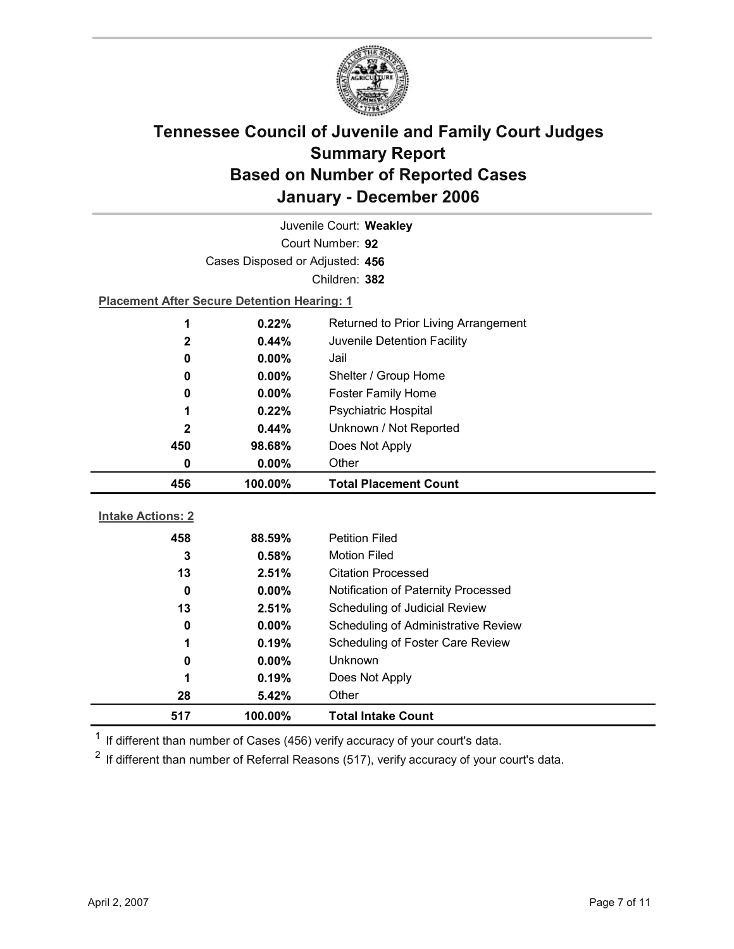

| Juvenile Court: Weakley  |                                                    |                                            |  |  |
|--------------------------|----------------------------------------------------|--------------------------------------------|--|--|
|                          | Court Number: 92                                   |                                            |  |  |
|                          | Cases Disposed or Adjusted: 456                    |                                            |  |  |
|                          |                                                    | Children: 382                              |  |  |
|                          | <b>Placement After Secure Detention Hearing: 1</b> |                                            |  |  |
| 1                        | 0.22%                                              | Returned to Prior Living Arrangement       |  |  |
| $\mathbf{2}$             | $0.44\%$                                           | Juvenile Detention Facility                |  |  |
| 0                        | 0.00%                                              | Jail                                       |  |  |
| 0                        | 0.00%                                              | Shelter / Group Home                       |  |  |
| 0                        | $0.00\%$                                           | <b>Foster Family Home</b>                  |  |  |
| 1                        | 0.22%                                              | Psychiatric Hospital                       |  |  |
| $\mathbf{2}$             | 0.44%                                              | Unknown / Not Reported                     |  |  |
| 450                      | 98.68%                                             | Does Not Apply                             |  |  |
| 0                        | 0.00%                                              | Other                                      |  |  |
| 456                      | 100.00%                                            | <b>Total Placement Count</b>               |  |  |
| <b>Intake Actions: 2</b> |                                                    |                                            |  |  |
|                          | 88.59%                                             | <b>Petition Filed</b>                      |  |  |
| 458<br>3                 | 0.58%                                              | <b>Motion Filed</b>                        |  |  |
| 13                       | 2.51%                                              | <b>Citation Processed</b>                  |  |  |
| 0                        |                                                    |                                            |  |  |
|                          |                                                    |                                            |  |  |
|                          | 0.00%                                              | Notification of Paternity Processed        |  |  |
| 13                       | 2.51%                                              | Scheduling of Judicial Review              |  |  |
| 0                        | $0.00\%$                                           | <b>Scheduling of Administrative Review</b> |  |  |
| 1                        | 0.19%                                              | Scheduling of Foster Care Review           |  |  |
| 0                        | 0.00%                                              | Unknown                                    |  |  |
| 1                        | 0.19%                                              | Does Not Apply                             |  |  |
| 28<br>517                | 5.42%<br>100.00%                                   | Other<br><b>Total Intake Count</b>         |  |  |

 $1$  If different than number of Cases (456) verify accuracy of your court's data.

 $2$  If different than number of Referral Reasons (517), verify accuracy of your court's data.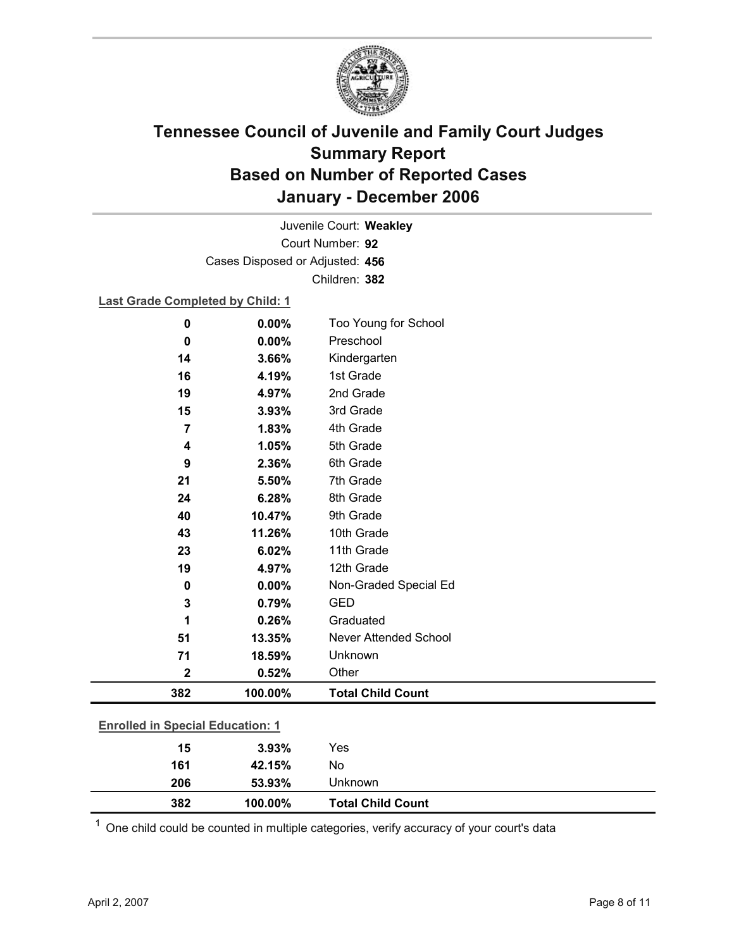

Court Number: **92** Juvenile Court: **Weakley** Cases Disposed or Adjusted: **456** Children: **382**

### **Last Grade Completed by Child: 1**

| 0.00%                                            | Too Young for School         |                          |
|--------------------------------------------------|------------------------------|--------------------------|
| 0.00%                                            | Preschool                    |                          |
| 3.66%                                            | Kindergarten                 |                          |
| 4.19%                                            | 1st Grade                    |                          |
| 4.97%                                            | 2nd Grade                    |                          |
| 3.93%                                            | 3rd Grade                    |                          |
| 1.83%                                            | 4th Grade                    |                          |
| 1.05%                                            | 5th Grade                    |                          |
| 2.36%                                            | 6th Grade                    |                          |
| 5.50%                                            | 7th Grade                    |                          |
| 6.28%                                            | 8th Grade                    |                          |
| 10.47%                                           | 9th Grade                    |                          |
| 11.26%                                           | 10th Grade                   |                          |
| 6.02%                                            | 11th Grade                   |                          |
| 4.97%                                            | 12th Grade                   |                          |
| 0.00%                                            | Non-Graded Special Ed        |                          |
| 0.79%                                            | <b>GED</b>                   |                          |
| 0.26%                                            | Graduated                    |                          |
| 13.35%                                           | <b>Never Attended School</b> |                          |
| 18.59%                                           | Unknown                      |                          |
| 0.52%                                            | Other                        |                          |
|                                                  |                              |                          |
| 100.00%                                          |                              |                          |
|                                                  |                              |                          |
| <b>Enrolled in Special Education: 1</b><br>3.93% | Yes                          |                          |
|                                                  |                              | <b>Total Child Count</b> |

 $1$  One child could be counted in multiple categories, verify accuracy of your court's data

**382 100.00% Total Child Count**

**206 53.93%** Unknown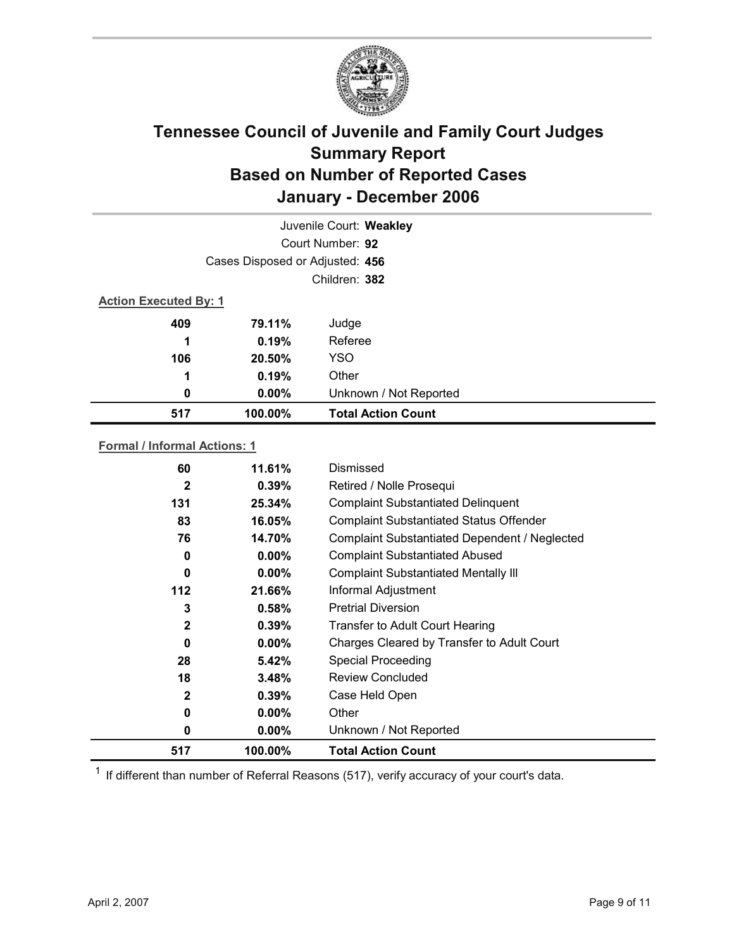

|                              | Juvenile Court: Weakley         |                           |  |
|------------------------------|---------------------------------|---------------------------|--|
|                              | Court Number: 92                |                           |  |
|                              | Cases Disposed or Adjusted: 456 |                           |  |
|                              | Children: 382                   |                           |  |
| <b>Action Executed By: 1</b> |                                 |                           |  |
| 409                          | 79.11%                          | Judge                     |  |
| 1                            | 0.19%                           | Referee                   |  |
| 106                          | 20.50%                          | <b>YSO</b>                |  |
| 1                            | 0.19%                           | Other                     |  |
| 0                            | $0.00\%$                        | Unknown / Not Reported    |  |
| 517                          | 100.00%                         | <b>Total Action Count</b> |  |

### **Formal / Informal Actions: 1**

| 517          | 100.00%  | <b>Total Action Count</b>                      |
|--------------|----------|------------------------------------------------|
| 0            | $0.00\%$ | Unknown / Not Reported                         |
| 0            | $0.00\%$ | Other                                          |
| $\mathbf{2}$ | 0.39%    | Case Held Open                                 |
| 18           | 3.48%    | <b>Review Concluded</b>                        |
| 28           | 5.42%    | <b>Special Proceeding</b>                      |
| 0            | $0.00\%$ | Charges Cleared by Transfer to Adult Court     |
| $\mathbf{2}$ | 0.39%    | <b>Transfer to Adult Court Hearing</b>         |
| 3            | 0.58%    | <b>Pretrial Diversion</b>                      |
| $112$        | 21.66%   | Informal Adjustment                            |
| 0            | $0.00\%$ | <b>Complaint Substantiated Mentally III</b>    |
| 0            | $0.00\%$ | <b>Complaint Substantiated Abused</b>          |
| 76           | 14.70%   | Complaint Substantiated Dependent / Neglected  |
| 83           | 16.05%   | <b>Complaint Substantiated Status Offender</b> |
| 131          | 25.34%   | <b>Complaint Substantiated Delinquent</b>      |
| $\mathbf{2}$ | 0.39%    | Retired / Nolle Prosequi                       |
| 60           | 11.61%   | Dismissed                                      |
|              |          |                                                |

 $1$  If different than number of Referral Reasons (517), verify accuracy of your court's data.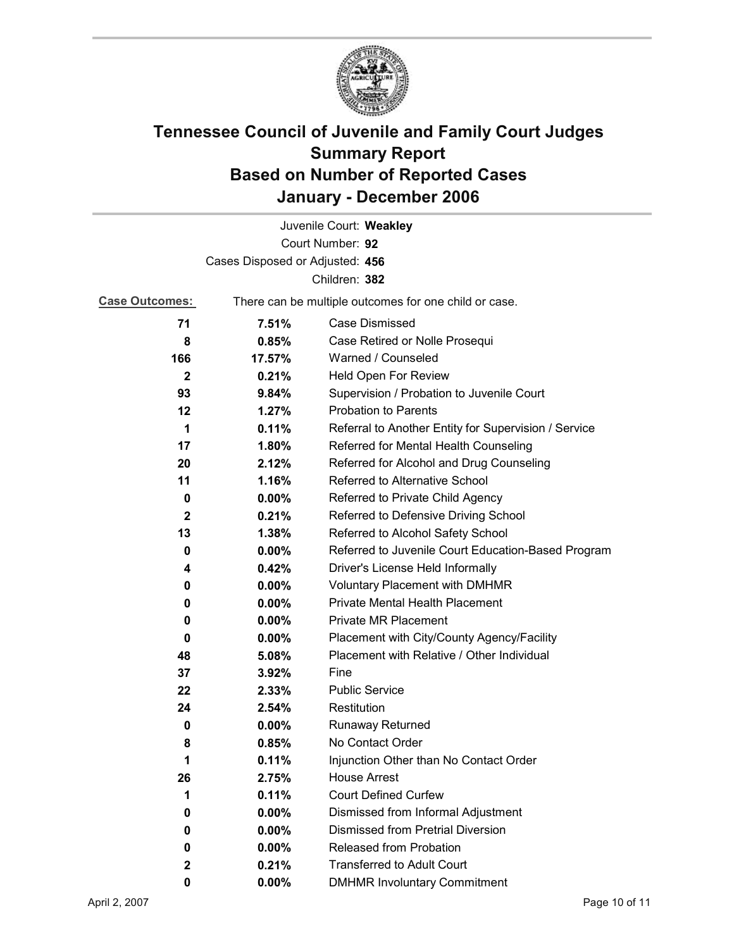

|                                 |          | Juvenile Court: Weakley                               |  |
|---------------------------------|----------|-------------------------------------------------------|--|
|                                 |          | Court Number: 92                                      |  |
| Cases Disposed or Adjusted: 456 |          |                                                       |  |
|                                 |          | Children: 382                                         |  |
| <b>Case Outcomes:</b>           |          | There can be multiple outcomes for one child or case. |  |
| 71                              | 7.51%    | Case Dismissed                                        |  |
| 8                               | 0.85%    | Case Retired or Nolle Prosequi                        |  |
| 166                             | 17.57%   | Warned / Counseled                                    |  |
| $\mathbf{2}$                    | 0.21%    | Held Open For Review                                  |  |
| 93                              | 9.84%    | Supervision / Probation to Juvenile Court             |  |
| 12                              | 1.27%    | <b>Probation to Parents</b>                           |  |
| 1                               | 0.11%    | Referral to Another Entity for Supervision / Service  |  |
| 17                              | $1.80\%$ | Referred for Mental Health Counseling                 |  |
| 20                              | 2.12%    | Referred for Alcohol and Drug Counseling              |  |
| 11                              | 1.16%    | Referred to Alternative School                        |  |
| 0                               | $0.00\%$ | Referred to Private Child Agency                      |  |
| 2                               | 0.21%    | Referred to Defensive Driving School                  |  |
| 13                              | 1.38%    | Referred to Alcohol Safety School                     |  |
| 0                               | $0.00\%$ | Referred to Juvenile Court Education-Based Program    |  |
| 4                               | 0.42%    | Driver's License Held Informally                      |  |
| 0                               | $0.00\%$ | <b>Voluntary Placement with DMHMR</b>                 |  |
| 0                               | $0.00\%$ | <b>Private Mental Health Placement</b>                |  |
| 0                               | $0.00\%$ | <b>Private MR Placement</b>                           |  |
| 0                               | $0.00\%$ | Placement with City/County Agency/Facility            |  |
| 48                              | 5.08%    | Placement with Relative / Other Individual            |  |
| 37                              | $3.92\%$ | Fine                                                  |  |
| 22                              | $2.33\%$ | <b>Public Service</b>                                 |  |
| 24                              | 2.54%    | Restitution                                           |  |
| 0                               | $0.00\%$ | Runaway Returned                                      |  |
| 8                               | 0.85%    | No Contact Order                                      |  |
| 1                               | 0.11%    | Injunction Other than No Contact Order                |  |
| 26                              | 2.75%    | <b>House Arrest</b>                                   |  |
| 1                               | 0.11%    | <b>Court Defined Curfew</b>                           |  |
| 0                               | $0.00\%$ | Dismissed from Informal Adjustment                    |  |
| 0                               | $0.00\%$ | <b>Dismissed from Pretrial Diversion</b>              |  |
| 0                               | $0.00\%$ | Released from Probation                               |  |
| $\mathbf 2$                     | 0.21%    | <b>Transferred to Adult Court</b>                     |  |
| 0                               | $0.00\%$ | <b>DMHMR Involuntary Commitment</b>                   |  |